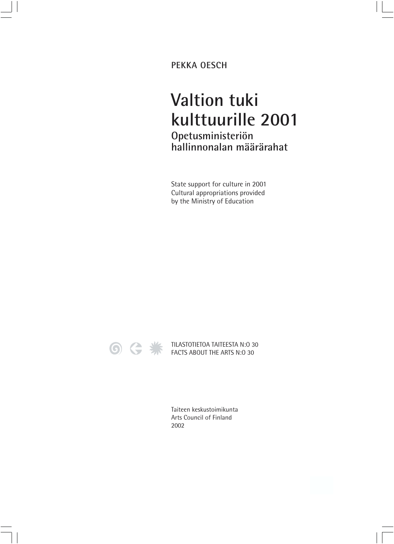**PEKKA OESCH**

## **Valtion tuki kulttuurille 2001 Opetusministeriön hallinnonalan määrärahat**

State support for culture in 2001 Cultural appropriations provided by the Ministry of Education



TILASTOTIETOA TAITEESTA N:O 30 FACTS ABOUT THE ARTS N:O 30

Taiteen keskustoimikunta Arts Council of Finland 2002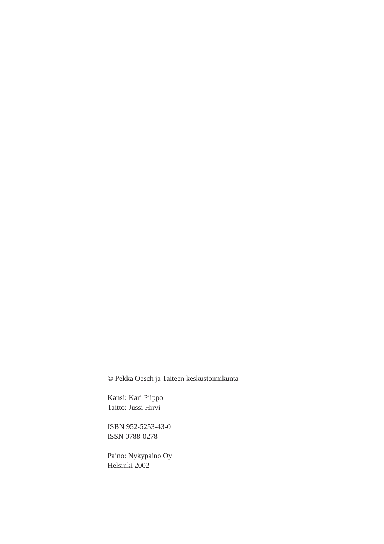© Pekka Oesch ja Taiteen keskustoimikunta

Kansi: Kari Piippo Taitto: Jussi Hirvi

ISBN 952-5253-43-0 ISSN 0788-0278

Paino: Nykypaino Oy Helsinki 2002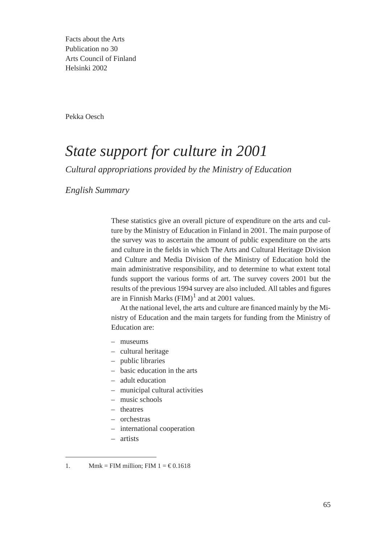Facts about the Arts Publication no 30 Arts Council of Finland Helsinki 2002

Pekka Oesch

## *State support for culture in 2001*

*Cultural appropriations provided by the Ministry of Education*

*English Summary*

These statistics give an overall picture of expenditure on the arts and culture by the Ministry of Education in Finland in 2001. The main purpose of the survey was to ascertain the amount of public expenditure on the arts and culture in the fields in which The Arts and Cultural Heritage Division and Culture and Media Division of the Ministry of Education hold the main administrative responsibility, and to determine to what extent total funds support the various forms of art. The survey covers 2001 but the results of the previous 1994 survey are also included. All tables and figures are in Finnish Marks  $(FIM)^1$  and at 2001 values.

At the national level, the arts and culture are financed mainly by the Ministry of Education and the main targets for funding from the Ministry of Education are:

- museums
- cultural heritage
- public libraries
- basic education in the arts
- adult education
- municipal cultural activities
- music schools
- theatres
- orchestras
- international cooperation
- artists

<sup>1.</sup> Mmk = FIM million; FIM  $1 = \text{\textsterling}0.1618$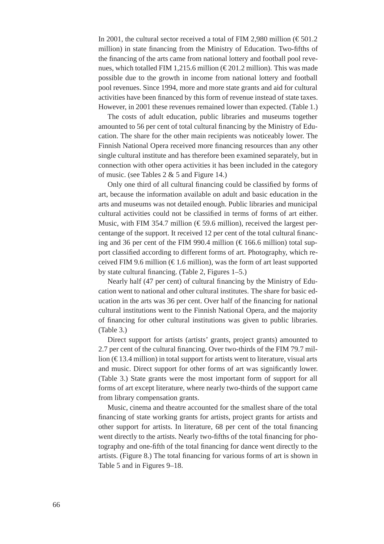In 2001, the cultural sector received a total of FIM 2,980 million ( $\epsilon$ 501.2 million) in state financing from the Ministry of Education. Two-fifths of the financing of the arts came from national lottery and football pool revenues, which totalled FIM 1,215.6 million ( $\epsilon$ 201.2 million). This was made possible due to the growth in income from national lottery and football pool revenues. Since 1994, more and more state grants and aid for cultural activities have been financed by this form of revenue instead of state taxes. However, in 2001 these revenues remained lower than expected. (Table 1.)

The costs of adult education, public libraries and museums together amounted to 56 per cent of total cultural financing by the Ministry of Education. The share for the other main recipients was noticeably lower. The Finnish National Opera received more financing resources than any other single cultural institute and has therefore been examined separately, but in connection with other opera activities it has been included in the category of music. (see Tables 2 & 5 and Figure 14.)

Only one third of all cultural financing could be classified by forms of art, because the information available on adult and basic education in the arts and museums was not detailed enough. Public libraries and municipal cultural activities could not be classified in terms of forms of art either. Music, with FIM 354.7 million ( $\epsilon$ 59.6 million), received the largest percentange of the support. It received 12 per cent of the total cultural financing and 36 per cent of the FIM 990.4 million ( $\epsilon$ 166.6 million) total support classified according to different forms of art. Photography, which received FIM 9.6 million ( $\epsilon$ 1.6 million), was the form of art least supported by state cultural financing. (Table 2, Figures 1–5.)

Nearly half (47 per cent) of cultural financing by the Ministry of Education went to national and other cultural institutes. The share for basic education in the arts was 36 per cent. Over half of the financing for national cultural institutions went to the Finnish National Opera, and the majority of financing for other cultural institutions was given to public libraries. (Table 3.)

Direct support for artists (artists' grants, project grants) amounted to 2.7 per cent of the cultural financing. Over two-thirds of the FIM 79.7 million  $(\text{\textsterling}13.4 \text{ million})$  in total support for artists went to literature, visual arts and music. Direct support for other forms of art was significantly lower. (Table 3.) State grants were the most important form of support for all forms of art except literature, where nearly two-thirds of the support came from library compensation grants.

Music, cinema and theatre accounted for the smallest share of the total financing of state working grants for artists, project grants for artists and other support for artists. In literature, 68 per cent of the total financing went directly to the artists. Nearly two-fifths of the total financing for photography and one-fifth of the total financing for dance went directly to the artists. (Figure 8.) The total financing for various forms of art is shown in Table 5 and in Figures 9–18.